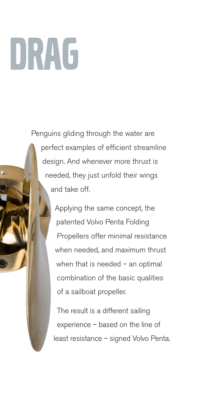# DRAG

Penguins gliding through the water are perfect examples of efficient streamline design. And whenever more thrust is needed, they just unfold their wings and take off.

> Applying the same concept, the patented Volvo Penta Folding Propellers offer minimal resistance when needed, and maximum thrust when that is needed – an optimal combination of the basic qualities of a sailboat propeller.

The result is a different sailing experience – based on the line of least resistance – signed Volvo Penta.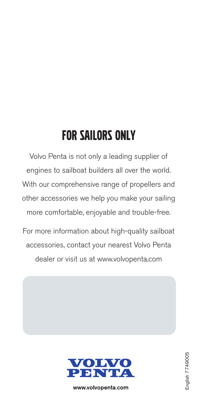### FOR SAILORS ONLY

Volvo Penta is not only a leading supplier of engines to sailboat builders all over the world. With our comprehensive range of propellers and other accessories we help you make your sailing more comfortable, enjoyable and trouble-free.

For more information about high-quality sailboat accessories, contact your nearest Volvo Penta dealer or visit us at www.volvopenta.com



www.volvopenta.com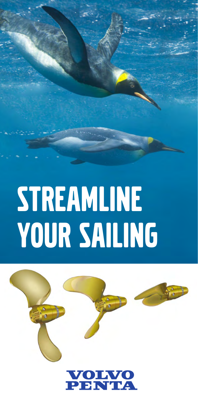## STREAMLINE YOUR SAILING



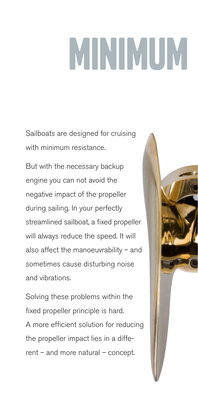# MINIMUM

Sailboats are designed for cruising with minimum resistance.

But with the necessary backup engine you can not avoid the negative impact of the propeller during sailing. In your perfectly streamlined sailboat, a fixed propeller will always reduce the speed. It will also affect the manoeuvrability – and sometimes cause disturbing noise and vibrations.

Solving these problems within the fixed propeller principle is hard. A more efficient solution for reducing the propeller impact lies in a different – and more natural – concept.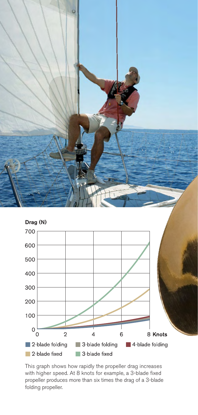

This graph shows how rapidly the propeller drag increases with higher speed. At 8 knots for example, a 3-blade fixed propeller produces more than six times the drag of a 3-blade folding propeller.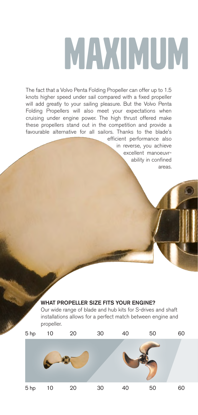# MAXIMUM

The fact that a Volvo Penta Folding Propeller can offer up to 1.5 knots higher speed under sail compared with a fixed propeller will add greatly to your sailing pleasure. But the Volvo Penta Folding Propellers will also meet your expectations when cruising under engine power. The high thrust offered make these propellers stand out in the competition and provide a favourable alternative for all sailors. Thanks to the blade's

efficient performance also in reverse, you achieve excellent manoeuvrability in confined areas.

#### WHAT PROPELLER SIZE FITS YOUR ENGINE?

Our wide range of blade and hub kits for S-drives and shaft installations allows for a perfect match between engine and propeller.

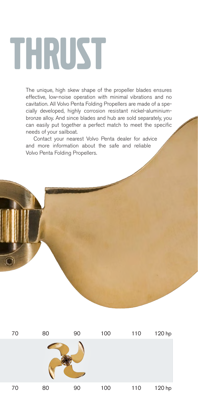## THRUST

The unique, high skew shape of the propeller blades ensures effective, low-noise operation with minimal vibrations and no cavitation. All Volvo Penta Folding Propellers are made of a specially developed, highly corrosion resistant nickel-aluminiumbronze alloy. And since blades and hub are sold separately, you can easily put together a perfect match to meet the specific needs of your sailboat.

Contact your nearest Volvo Penta dealer for advice and more information about the safe and reliable Volvo Penta Folding Propellers.